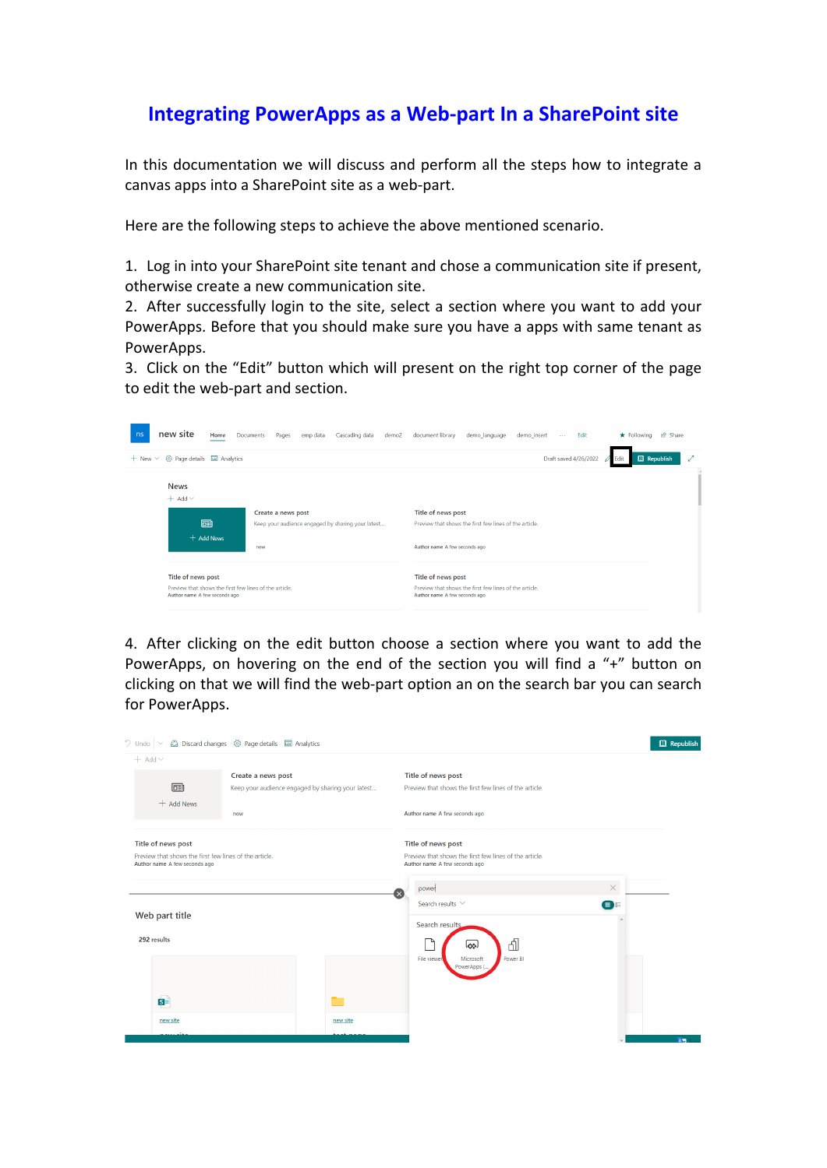## **Integrating PowerApps as a Web-part In a SharePoint site**

In this documentation we will discuss and perform all the steps how to integrate a canvas apps into a SharePoint site as a web-part.

Here are the following steps to achieve the above mentioned scenario.

1. Log in into your SharePoint site tenant and chose a communication site if present, otherwise create a new communication site.

2. After successfully login to the site, select a section where you want to add your PowerApps. Before that you should make sure you have a apps with same tenant as PowerApps.

3. Click on the "Edit" button which will present on the right top corner of the page to edit the web-part and section.

| new site<br>ns<br>Home                                                                                        | Cascading data<br><b>Documents</b><br>Pages<br>emp data<br>demo <sub>2</sub>   | document library<br>demo language<br>demo_insert<br>Edit<br>$\sim$ $\sim$                                     | in Share<br>$\star$ Following |
|---------------------------------------------------------------------------------------------------------------|--------------------------------------------------------------------------------|---------------------------------------------------------------------------------------------------------------|-------------------------------|
| @ Page details 图 Analytics<br>$+$ New $\times$                                                                |                                                                                | Draft saved 4/26/2022                                                                                         | <b>Q</b> Republish<br>Fdit    |
| <b>News</b><br>$+$ Add $\vee$<br>同<br>+ Add News                                                              | Create a news post<br>Keep your audience engaged by sharing your latest<br>now | Title of news post<br>Preview that shows the first few lines of the article.<br>Author name A few seconds ago |                               |
| Title of news post<br>Preview that shows the first few lines of the article.<br>Author name A few seconds ago |                                                                                | Title of news post<br>Preview that shows the first few lines of the article.<br>Author name A few seconds ago |                               |

4. After clicking on the edit button choose a section where you want to add the PowerApps, on hovering on the end of the section you will find a "+" button on clicking on that we will find the web-part option an on the search bar you can search for PowerApps.

| $9$ Undo                                                                                                      | △ Discard changes ۞ Page details ■ Analytics                            |          |                                                                                                               |                | <b>Q</b> Republish |
|---------------------------------------------------------------------------------------------------------------|-------------------------------------------------------------------------|----------|---------------------------------------------------------------------------------------------------------------|----------------|--------------------|
| $+$ Add $\vee$<br>面                                                                                           | Create a news post<br>Keep your audience engaged by sharing your latest |          | Title of news post<br>Preview that shows the first few lines of the article.                                  |                |                    |
| $+$ Add News<br>now                                                                                           |                                                                         |          | Author name A few seconds ago                                                                                 |                |                    |
| Title of news post<br>Preview that shows the first few lines of the article.<br>Author name A few seconds ago |                                                                         |          | Title of news post<br>Preview that shows the first few lines of the article.<br>Author name A few seconds ago |                |                    |
| Web part title                                                                                                |                                                                         |          | power<br>Search results V<br>Search results.                                                                  | $\times$<br>田島 |                    |
| 292 results                                                                                                   |                                                                         |          | đ<br>اچها<br>Power BI<br>File viewer<br>Microsoft<br>PowerApps                                                |                |                    |
| $\overline{\mathbf{s}}$                                                                                       |                                                                         |          |                                                                                                               |                |                    |
| new site                                                                                                      |                                                                         | new site |                                                                                                               |                | AW                 |